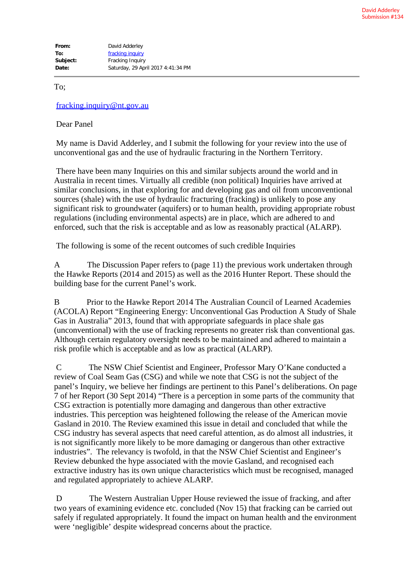To;

fracking.inquiry@nt.gov.au

Dear Panel

 My name is David Adderley, and I submit the following for your review into the use of unconventional gas and the use of hydraulic fracturing in the Northern Territory.

 There have been many Inquiries on this and similar subjects around the world and in Australia in recent times. Virtually all credible (non political) Inquiries have arrived at similar conclusions, in that exploring for and developing gas and oil from unconventional sources (shale) with the use of hydraulic fracturing (fracking) is unlikely to pose any significant risk to groundwater (aquifers) or to human health, providing appropriate robust regulations (including environmental aspects) are in place, which are adhered to and enforced, such that the risk is acceptable and as low as reasonably practical (ALARP).

The following is some of the recent outcomes of such credible Inquiries

A The Discussion Paper refers to (page 11) the previous work undertaken through the Hawke Reports (2014 and 2015) as well as the 2016 Hunter Report. These should the building base for the current Panel's work.

B Prior to the Hawke Report 2014 The Australian Council of Learned Academies (ACOLA) Report "Engineering Energy: Unconventional Gas Production A Study of Shale Gas in Australia" 2013, found that with appropriate safeguards in place shale gas (unconventional) with the use of fracking represents no greater risk than conventional gas. Although certain regulatory oversight needs to be maintained and adhered to maintain a risk profile which is acceptable and as low as practical (ALARP).

 C The NSW Chief Scientist and Engineer, Professor Mary O'Kane conducted a review of Coal Seam Gas (CSG) and while we note that CSG is not the subject of the panel's Inquiry, we believe her findings are pertinent to this Panel's deliberations. On page 7 of her Report (30 Sept 2014) "There is a perception in some parts of the community that CSG extraction is potentially more damaging and dangerous than other extractive industries. This perception was heightened following the release of the American movie Gasland in 2010. The Review examined this issue in detail and concluded that while the CSG industry has several aspects that need careful attention, as do almost all industries, it is not significantly more likely to be more damaging or dangerous than other extractive industries". The relevancy is twofold, in that the NSW Chief Scientist and Engineer's Review debunked the hype associated with the movie Gasland, and recognised each extractive industry has its own unique characteristics which must be recognised, managed and regulated appropriately to achieve ALARP.

 D The Western Australian Upper House reviewed the issue of fracking, and after two years of examining evidence etc. concluded (Nov 15) that fracking can be carried out safely if regulated appropriately. It found the impact on human health and the environment were 'negligible' despite widespread concerns about the practice.